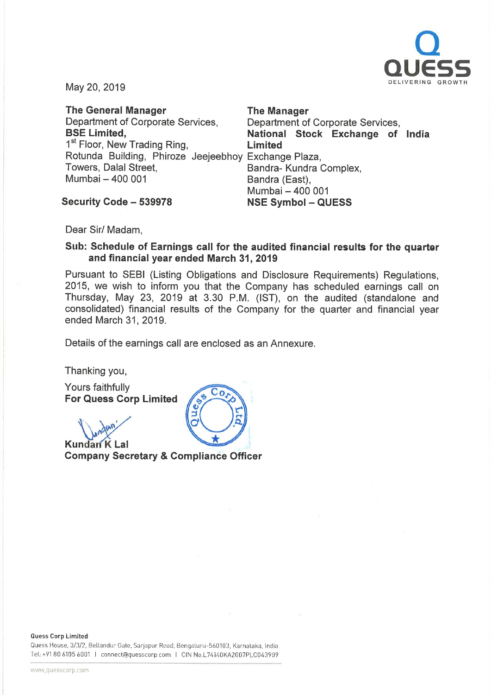

May 20, 2019

The General Manager The Manager Department of Corporate Services, Department of Corporate Services, 1<sup>st</sup> Floor, New Trading Ring, **Limited** Rotunda Building, Phiroze Jeejeebhoy Exchange Plaza, Towers, Dalal Street, **Bandra- Kundra Complex**, Mumbai - 400 001 Bandra (East),

BSE Limited, The Stational Stock Exchange of India Mumbai - 400 001

Security Code - 539978 NSE Symbol - QUESS

Dear Sir/ Madam,

#### Sub: Schedule of Earnings call for the audited financial results for the quarter and financial year ended March 31, 2019

Pursuant to SEBI (Listing Obligations and Disclosure Requirements) Regulations, 2015, we wish to inform you that the Company has scheduled earnings call on Thursday, May 23, 2019 at 3.30 P.M. (1ST), on the audited (standalone and consolidated) financial results of the Company for the quarter and financial year ended March 31, 2019.

Details of the earnings call are enclosed as an Annexure.

 $Co$ 

Thanking you,

Yours faithfully For Quess Corp Limited

**Kundan K Lal** Company Secretary & Compliance Officer

Quess House, 3/3/2, Bellandur Gate, Sarjapur Road, Bengaluru-560103, Karnataka, India Tel: +91806105 6001 I connect@quesscorp com I CIN No.L74i40KA2007PLC043909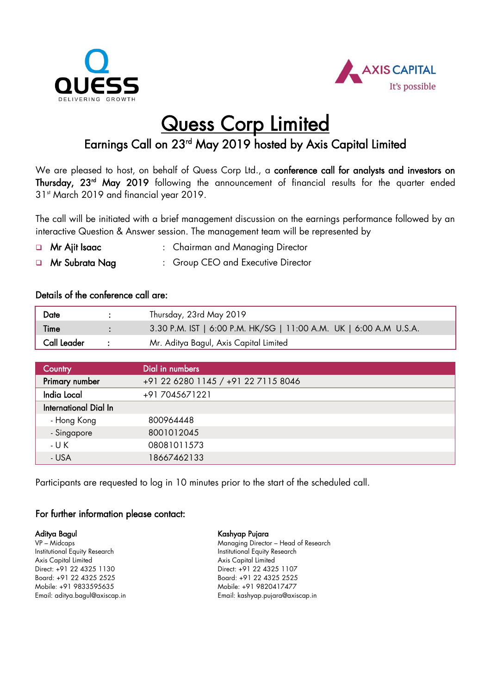



# **Quess Corp Limited**

### Earnings Call on 23<sup>rd</sup> May 2019 hosted by Axis Capital Limited

We are pleased to host, on behalf of Quess Corp Ltd., a conference call for analysts and investors on **Thursday, 23<sup>rd</sup> May 2019** following the announcement of financial results for the quarter ended 31<sup>st</sup> March 2019 and financial year 2019.

The call will be initiated with a brief management discussion on the earnings performance followed by an interactive Question & Answer session. The management team will be represented by

- **a** Mr Ajit Isaac : Chairman and Managing Director
- **In Mr Subrata Nag 1988**: Group CEO and Executive Director

#### Details of the conference call are:

| Date               | Thursday, 23rd May 2019                                           |
|--------------------|-------------------------------------------------------------------|
| <b>Time</b>        | 3.30 P.M. IST   6:00 P.M. HK/SG   11:00 A.M. UK   6:00 A.M U.S.A. |
| <b>Call Leader</b> | Mr. Aditya Bagul, Axis Capital Limited                            |

| Country                      | Dial in numbers                     |
|------------------------------|-------------------------------------|
| Primary number               | +91 22 6280 1145 / +91 22 7115 8046 |
| India Local                  | +917045671221                       |
| <b>International Dial In</b> |                                     |
| - Hong Kong                  | 800964448                           |
| - Singapore                  | 8001012045                          |
| - U K                        | 08081011573                         |
| - USA                        | 18667462133                         |

Participants are requested to log in 10 minutes prior to the start of the scheduled call.

#### For further information please contact:

Aditya Bagul VP – Midcaps Institutional Equity Research Axis Capital Limited Direct: +91 22 4325 1130 Board: +91 22 4325 2525 Mobile: +91 9833595635 Email: aditya.bagul@axiscap.in Kashyap Pujara

Managing Director – Head of Research Institutional Equity Research Axis Capital Limited Direct: +91 22 4325 1107 Board: +91 22 4325 2525 Mobile: +91 9820417477 Email: kashyap.pujara@axiscap.in